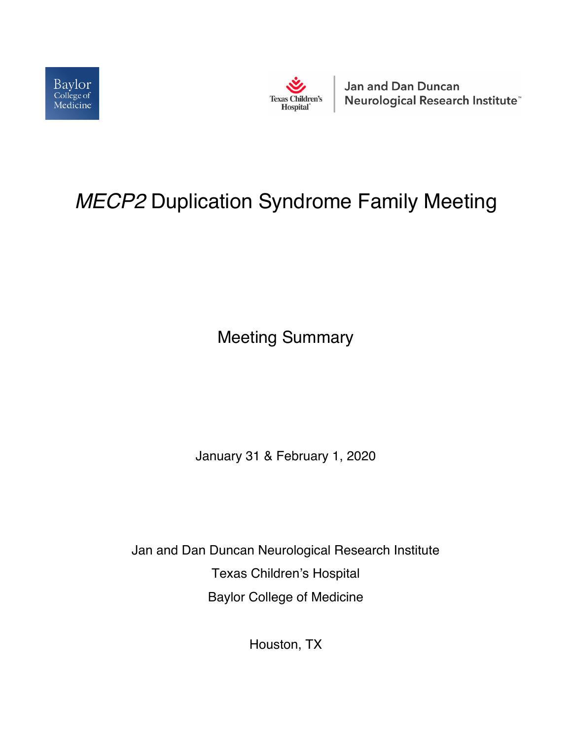



**Jan and Dan Duncan** Neurological Research Institute<sup>®</sup>

# *MECP2* Duplication Syndrome Family Meeting

Meeting Summary

January 31 & February 1, 2020

Jan and Dan Duncan Neurological Research Institute Texas Children's Hospital Baylor College of Medicine

Houston, TX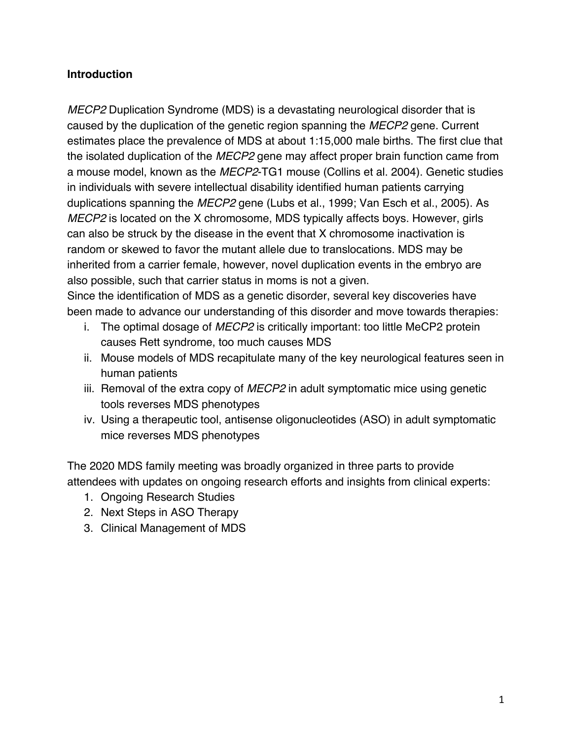#### **Introduction**

*MECP2* Duplication Syndrome (MDS) is a devastating neurological disorder that is caused by the duplication of the genetic region spanning the *MECP2* gene. Current estimates place the prevalence of MDS at about 1:15,000 male births. The first clue that the isolated duplication of the *MECP2* gene may affect proper brain function came from a mouse model, known as the *MECP2*-TG1 mouse (Collins et al. 2004). Genetic studies in individuals with severe intellectual disability identified human patients carrying duplications spanning the *MECP2* gene (Lubs et al., 1999; Van Esch et al., 2005). As *MECP2* is located on the X chromosome, MDS typically affects boys. However, girls can also be struck by the disease in the event that X chromosome inactivation is random or skewed to favor the mutant allele due to translocations. MDS may be inherited from a carrier female, however, novel duplication events in the embryo are also possible, such that carrier status in moms is not a given.

Since the identification of MDS as a genetic disorder, several key discoveries have been made to advance our understanding of this disorder and move towards therapies:

- i. The optimal dosage of *MECP2* is critically important: too little MeCP2 protein causes Rett syndrome, too much causes MDS
- ii. Mouse models of MDS recapitulate many of the key neurological features seen in human patients
- iii. Removal of the extra copy of *MECP2* in adult symptomatic mice using genetic tools reverses MDS phenotypes
- iv. Using a therapeutic tool, antisense oligonucleotides (ASO) in adult symptomatic mice reverses MDS phenotypes

The 2020 MDS family meeting was broadly organized in three parts to provide attendees with updates on ongoing research efforts and insights from clinical experts:

- 1. Ongoing Research Studies
- 2. Next Steps in ASO Therapy
- 3. Clinical Management of MDS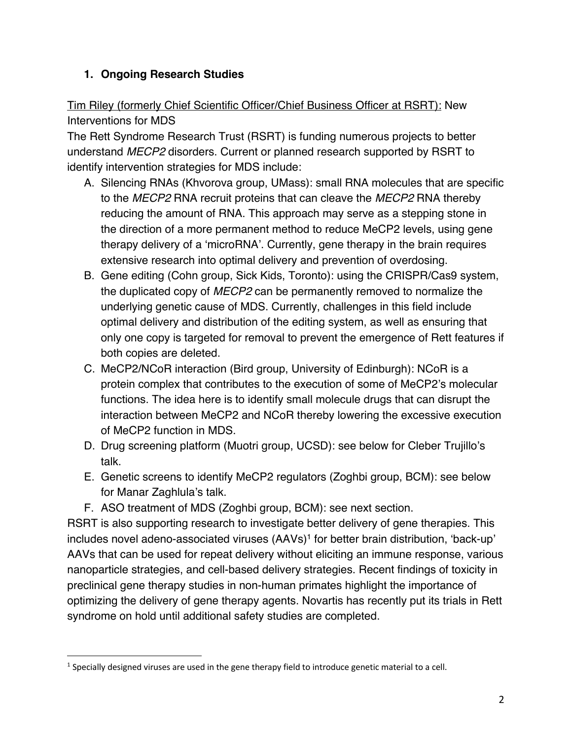#### **1. Ongoing Research Studies**

# Tim Riley (formerly Chief Scientific Officer/Chief Business Officer at RSRT): New Interventions for MDS

The Rett Syndrome Research Trust (RSRT) is funding numerous projects to better understand *MECP2* disorders. Current or planned research supported by RSRT to identify intervention strategies for MDS include:

- A. Silencing RNAs (Khvorova group, UMass): small RNA molecules that are specific to the *MECP2* RNA recruit proteins that can cleave the *MECP2* RNA thereby reducing the amount of RNA. This approach may serve as a stepping stone in the direction of a more permanent method to reduce MeCP2 levels, using gene therapy delivery of a 'microRNA'. Currently, gene therapy in the brain requires extensive research into optimal delivery and prevention of overdosing.
- B. Gene editing (Cohn group, Sick Kids, Toronto): using the CRISPR/Cas9 system, the duplicated copy of *MECP2* can be permanently removed to normalize the underlying genetic cause of MDS. Currently, challenges in this field include optimal delivery and distribution of the editing system, as well as ensuring that only one copy is targeted for removal to prevent the emergence of Rett features if both copies are deleted.
- C. MeCP2/NCoR interaction (Bird group, University of Edinburgh): NCoR is a protein complex that contributes to the execution of some of MeCP2's molecular functions. The idea here is to identify small molecule drugs that can disrupt the interaction between MeCP2 and NCoR thereby lowering the excessive execution of MeCP2 function in MDS.
- D. Drug screening platform (Muotri group, UCSD): see below for Cleber Trujillo's talk.
- E. Genetic screens to identify MeCP2 regulators (Zoghbi group, BCM): see below for Manar Zaghlula's talk.
- F. ASO treatment of MDS (Zoghbi group, BCM): see next section.

RSRT is also supporting research to investigate better delivery of gene therapies. This includes novel adeno-associated viruses (AAVs)<sup>1</sup> for better brain distribution, 'back-up' AAVs that can be used for repeat delivery without eliciting an immune response, various nanoparticle strategies, and cell-based delivery strategies. Recent findings of toxicity in preclinical gene therapy studies in non-human primates highlight the importance of optimizing the delivery of gene therapy agents. Novartis has recently put its trials in Rett syndrome on hold until additional safety studies are completed.

 $1$  Specially designed viruses are used in the gene therapy field to introduce genetic material to a cell.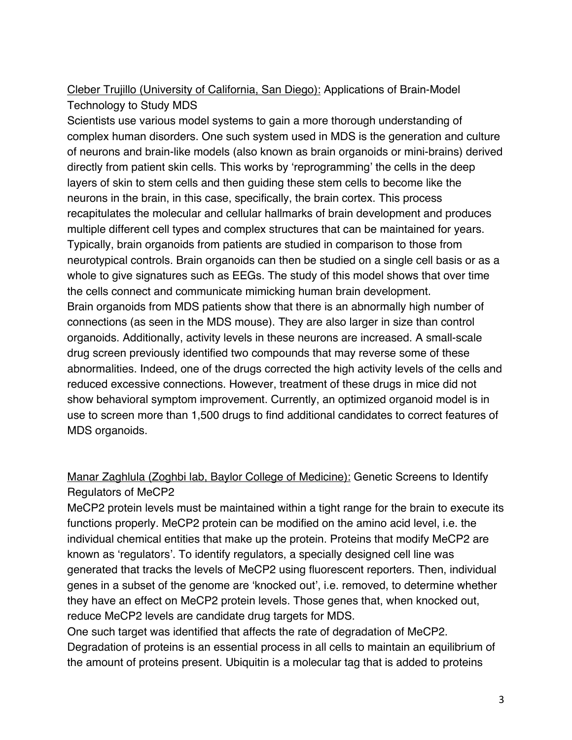# Cleber Trujillo (University of California, San Diego): Applications of Brain-Model Technology to Study MDS

Scientists use various model systems to gain a more thorough understanding of complex human disorders. One such system used in MDS is the generation and culture of neurons and brain-like models (also known as brain organoids or mini-brains) derived directly from patient skin cells. This works by 'reprogramming' the cells in the deep layers of skin to stem cells and then guiding these stem cells to become like the neurons in the brain, in this case, specifically, the brain cortex. This process recapitulates the molecular and cellular hallmarks of brain development and produces multiple different cell types and complex structures that can be maintained for years. Typically, brain organoids from patients are studied in comparison to those from neurotypical controls. Brain organoids can then be studied on a single cell basis or as a whole to give signatures such as EEGs. The study of this model shows that over time the cells connect and communicate mimicking human brain development. Brain organoids from MDS patients show that there is an abnormally high number of connections (as seen in the MDS mouse). They are also larger in size than control organoids. Additionally, activity levels in these neurons are increased. A small-scale drug screen previously identified two compounds that may reverse some of these abnormalities. Indeed, one of the drugs corrected the high activity levels of the cells and reduced excessive connections. However, treatment of these drugs in mice did not show behavioral symptom improvement. Currently, an optimized organoid model is in use to screen more than 1,500 drugs to find additional candidates to correct features of MDS organoids.

#### Manar Zaghlula (Zoghbi lab, Baylor College of Medicine): Genetic Screens to Identify Regulators of MeCP2

MeCP2 protein levels must be maintained within a tight range for the brain to execute its functions properly. MeCP2 protein can be modified on the amino acid level, i.e. the individual chemical entities that make up the protein. Proteins that modify MeCP2 are known as 'regulators'. To identify regulators, a specially designed cell line was generated that tracks the levels of MeCP2 using fluorescent reporters. Then, individual genes in a subset of the genome are 'knocked out', i.e. removed, to determine whether they have an effect on MeCP2 protein levels. Those genes that, when knocked out, reduce MeCP2 levels are candidate drug targets for MDS.

One such target was identified that affects the rate of degradation of MeCP2. Degradation of proteins is an essential process in all cells to maintain an equilibrium of the amount of proteins present. Ubiquitin is a molecular tag that is added to proteins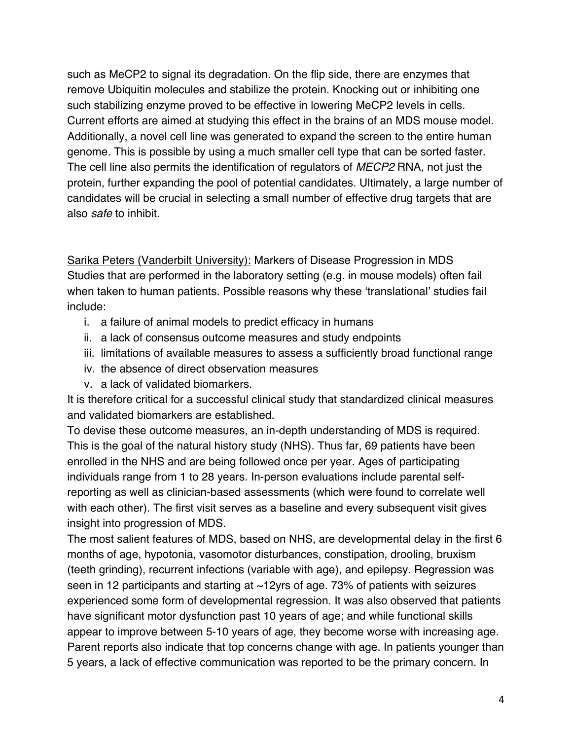such as MeCP2 to signal its degradation. On the flip side, there are enzymes that remove Ubiquitin molecules and stabilize the protein. Knocking out or inhibiting one such stabilizing enzyme proved to be effective in lowering MeCP2 levels in cells. Current efforts are aimed at studying this effect in the brains of an MDS mouse model. Additionally, a novel cell line was generated to expand the screen to the entire human genome. This is possible by using a much smaller cell type that can be sorted faster. The cell line also permits the identification of regulators of *MECP2* RNA, not just the protein, further expanding the pool of potential candidates. Ultimately, a large number of candidates will be crucial in selecting a small number of effective drug targets that are also *safe* to inhibit.

Sarika Peters (Vanderbilt University): Markers of Disease Progression in MDS Studies that are performed in the laboratory setting (e.g. in mouse models) often fail when taken to human patients. Possible reasons why these 'translational' studies fail include:

- i. a failure of animal models to predict efficacy in humans
- ii. a lack of consensus outcome measures and study endpoints
- iii. limitations of available measures to assess a sufficiently broad functional range
- iv. the absence of direct observation measures
- v. a lack of validated biomarkers.

It is therefore critical for a successful clinical study that standardized clinical measures and validated biomarkers are established.

To devise these outcome measures, an in-depth understanding of MDS is required. This is the goal of the natural history study (NHS). Thus far, 69 patients have been enrolled in the NHS and are being followed once per year. Ages of participating individuals range from 1 to 28 years. In-person evaluations include parental selfreporting as well as clinician-based assessments (which were found to correlate well with each other). The first visit serves as a baseline and every subsequent visit gives insight into progression of MDS.

The most salient features of MDS, based on NHS, are developmental delay in the first 6 months of age, hypotonia, vasomotor disturbances, constipation, drooling, bruxism (teeth grinding), recurrent infections (variable with age), and epilepsy. Regression was seen in 12 participants and starting at ~12yrs of age. 73% of patients with seizures experienced some form of developmental regression. It was also observed that patients have significant motor dysfunction past 10 years of age; and while functional skills appear to improve between 5-10 years of age, they become worse with increasing age. Parent reports also indicate that top concerns change with age. In patients younger than 5 years, a lack of effective communication was reported to be the primary concern. In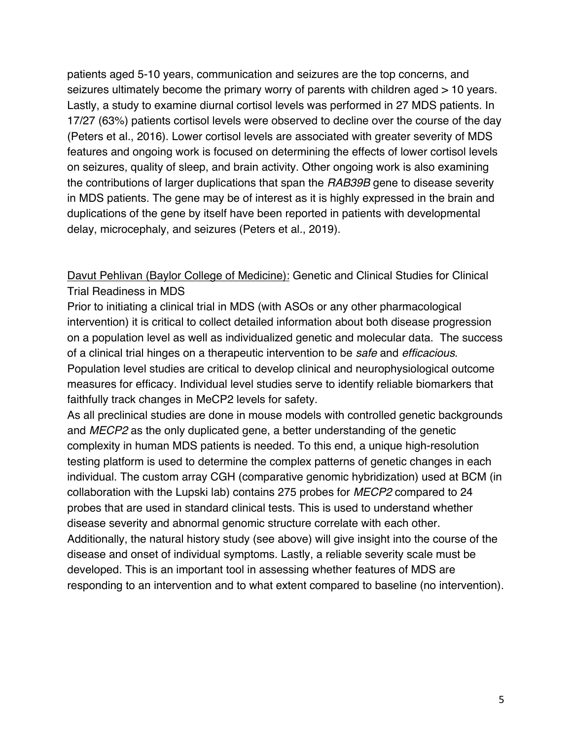patients aged 5-10 years, communication and seizures are the top concerns, and seizures ultimately become the primary worry of parents with children aged > 10 years. Lastly, a study to examine diurnal cortisol levels was performed in 27 MDS patients. In 17/27 (63%) patients cortisol levels were observed to decline over the course of the day (Peters et al., 2016). Lower cortisol levels are associated with greater severity of MDS features and ongoing work is focused on determining the effects of lower cortisol levels on seizures, quality of sleep, and brain activity. Other ongoing work is also examining the contributions of larger duplications that span the *RAB39B* gene to disease severity in MDS patients. The gene may be of interest as it is highly expressed in the brain and duplications of the gene by itself have been reported in patients with developmental delay, microcephaly, and seizures (Peters et al., 2019).

Davut Pehlivan (Baylor College of Medicine): Genetic and Clinical Studies for Clinical Trial Readiness in MDS

Prior to initiating a clinical trial in MDS (with ASOs or any other pharmacological intervention) it is critical to collect detailed information about both disease progression on a population level as well as individualized genetic and molecular data. The success of a clinical trial hinges on a therapeutic intervention to be *safe* and *efficacious*. Population level studies are critical to develop clinical and neurophysiological outcome measures for efficacy. Individual level studies serve to identify reliable biomarkers that faithfully track changes in MeCP2 levels for safety.

As all preclinical studies are done in mouse models with controlled genetic backgrounds and *MECP2* as the only duplicated gene, a better understanding of the genetic complexity in human MDS patients is needed. To this end, a unique high-resolution testing platform is used to determine the complex patterns of genetic changes in each individual. The custom array CGH (comparative genomic hybridization) used at BCM (in collaboration with the Lupski lab) contains 275 probes for *MECP2* compared to 24 probes that are used in standard clinical tests. This is used to understand whether disease severity and abnormal genomic structure correlate with each other. Additionally, the natural history study (see above) will give insight into the course of the disease and onset of individual symptoms. Lastly, a reliable severity scale must be developed. This is an important tool in assessing whether features of MDS are responding to an intervention and to what extent compared to baseline (no intervention).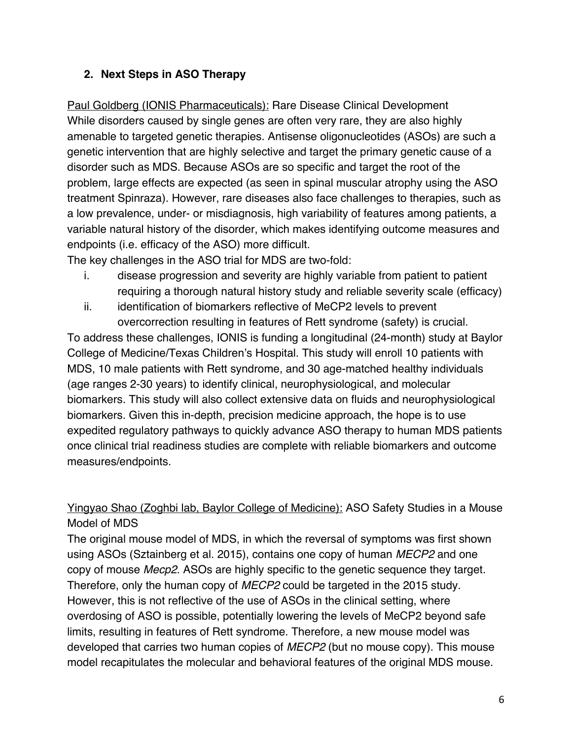#### **2. Next Steps in ASO Therapy**

Paul Goldberg (IONIS Pharmaceuticals): Rare Disease Clinical Development While disorders caused by single genes are often very rare, they are also highly amenable to targeted genetic therapies. Antisense oligonucleotides (ASOs) are such a genetic intervention that are highly selective and target the primary genetic cause of a disorder such as MDS. Because ASOs are so specific and target the root of the problem, large effects are expected (as seen in spinal muscular atrophy using the ASO treatment Spinraza). However, rare diseases also face challenges to therapies, such as a low prevalence, under- or misdiagnosis, high variability of features among patients, a variable natural history of the disorder, which makes identifying outcome measures and endpoints (i.e. efficacy of the ASO) more difficult.

The key challenges in the ASO trial for MDS are two-fold:

- i. disease progression and severity are highly variable from patient to patient requiring a thorough natural history study and reliable severity scale (efficacy)
- ii. identification of biomarkers reflective of MeCP2 levels to prevent overcorrection resulting in features of Rett syndrome (safety) is crucial.

To address these challenges, IONIS is funding a longitudinal (24-month) study at Baylor College of Medicine/Texas Children's Hospital. This study will enroll 10 patients with MDS, 10 male patients with Rett syndrome, and 30 age-matched healthy individuals (age ranges 2-30 years) to identify clinical, neurophysiological, and molecular biomarkers. This study will also collect extensive data on fluids and neurophysiological biomarkers. Given this in-depth, precision medicine approach, the hope is to use expedited regulatory pathways to quickly advance ASO therapy to human MDS patients once clinical trial readiness studies are complete with reliable biomarkers and outcome measures/endpoints.

# Yingyao Shao (Zoghbi lab, Baylor College of Medicine): ASO Safety Studies in a Mouse Model of MDS

The original mouse model of MDS, in which the reversal of symptoms was first shown using ASOs (Sztainberg et al. 2015), contains one copy of human *MECP2* and one copy of mouse *Mecp2*. ASOs are highly specific to the genetic sequence they target. Therefore, only the human copy of *MECP2* could be targeted in the 2015 study. However, this is not reflective of the use of ASOs in the clinical setting, where overdosing of ASO is possible, potentially lowering the levels of MeCP2 beyond safe limits, resulting in features of Rett syndrome. Therefore, a new mouse model was developed that carries two human copies of *MECP2* (but no mouse copy). This mouse model recapitulates the molecular and behavioral features of the original MDS mouse.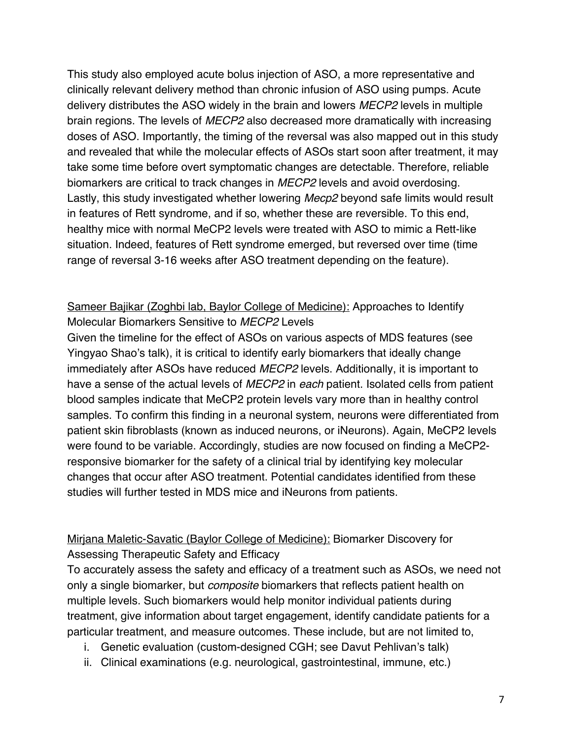This study also employed acute bolus injection of ASO, a more representative and clinically relevant delivery method than chronic infusion of ASO using pumps. Acute delivery distributes the ASO widely in the brain and lowers *MECP2* levels in multiple brain regions. The levels of *MECP2* also decreased more dramatically with increasing doses of ASO. Importantly, the timing of the reversal was also mapped out in this study and revealed that while the molecular effects of ASOs start soon after treatment, it may take some time before overt symptomatic changes are detectable. Therefore, reliable biomarkers are critical to track changes in *MECP2* levels and avoid overdosing. Lastly, this study investigated whether lowering *Mecp2* beyond safe limits would result in features of Rett syndrome, and if so, whether these are reversible. To this end, healthy mice with normal MeCP2 levels were treated with ASO to mimic a Rett-like situation. Indeed, features of Rett syndrome emerged, but reversed over time (time range of reversal 3-16 weeks after ASO treatment depending on the feature).

#### Sameer Bajikar (Zoghbi lab, Baylor College of Medicine): Approaches to Identify Molecular Biomarkers Sensitive to *MECP2* Levels

Given the timeline for the effect of ASOs on various aspects of MDS features (see Yingyao Shao's talk), it is critical to identify early biomarkers that ideally change immediately after ASOs have reduced *MECP2* levels. Additionally, it is important to have a sense of the actual levels of *MECP2* in *each* patient. Isolated cells from patient blood samples indicate that MeCP2 protein levels vary more than in healthy control samples. To confirm this finding in a neuronal system, neurons were differentiated from patient skin fibroblasts (known as induced neurons, or iNeurons). Again, MeCP2 levels were found to be variable. Accordingly, studies are now focused on finding a MeCP2 responsive biomarker for the safety of a clinical trial by identifying key molecular changes that occur after ASO treatment. Potential candidates identified from these studies will further tested in MDS mice and iNeurons from patients.

# Mirjana Maletic-Savatic (Baylor College of Medicine): Biomarker Discovery for Assessing Therapeutic Safety and Efficacy

To accurately assess the safety and efficacy of a treatment such as ASOs, we need not only a single biomarker, but *composite* biomarkers that reflects patient health on multiple levels. Such biomarkers would help monitor individual patients during treatment, give information about target engagement, identify candidate patients for a particular treatment, and measure outcomes. These include, but are not limited to,

- i. Genetic evaluation (custom-designed CGH; see Davut Pehlivan's talk)
- ii. Clinical examinations (e.g. neurological, gastrointestinal, immune, etc.)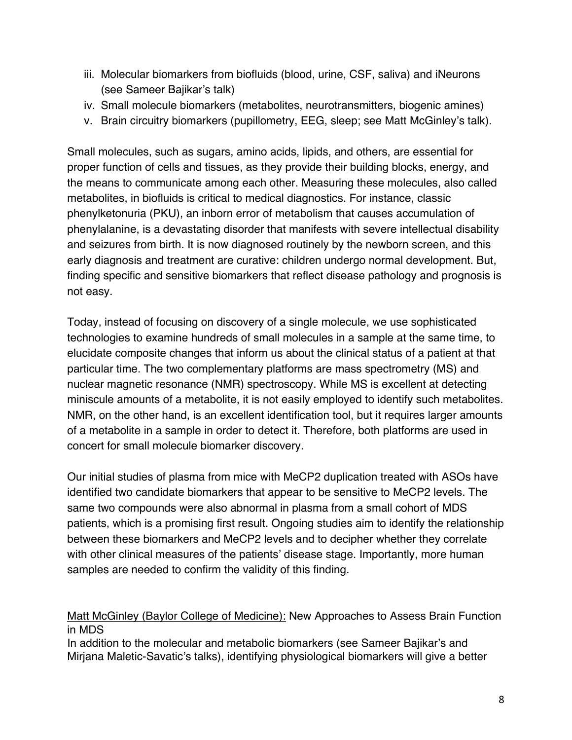- iii. Molecular biomarkers from biofluids (blood, urine, CSF, saliva) and iNeurons (see Sameer Bajikar's talk)
- iv. Small molecule biomarkers (metabolites, neurotransmitters, biogenic amines)
- v. Brain circuitry biomarkers (pupillometry, EEG, sleep; see Matt McGinley's talk).

Small molecules, such as sugars, amino acids, lipids, and others, are essential for proper function of cells and tissues, as they provide their building blocks, energy, and the means to communicate among each other. Measuring these molecules, also called metabolites, in biofluids is critical to medical diagnostics. For instance, classic phenylketonuria (PKU), an inborn error of metabolism that causes accumulation of phenylalanine, is a devastating disorder that manifests with severe intellectual disability and seizures from birth. It is now diagnosed routinely by the newborn screen, and this early diagnosis and treatment are curative: children undergo normal development. But, finding specific and sensitive biomarkers that reflect disease pathology and prognosis is not easy.

Today, instead of focusing on discovery of a single molecule, we use sophisticated technologies to examine hundreds of small molecules in a sample at the same time, to elucidate composite changes that inform us about the clinical status of a patient at that particular time. The two complementary platforms are mass spectrometry (MS) and nuclear magnetic resonance (NMR) spectroscopy. While MS is excellent at detecting miniscule amounts of a metabolite, it is not easily employed to identify such metabolites. NMR, on the other hand, is an excellent identification tool, but it requires larger amounts of a metabolite in a sample in order to detect it. Therefore, both platforms are used in concert for small molecule biomarker discovery.

Our initial studies of plasma from mice with MeCP2 duplication treated with ASOs have identified two candidate biomarkers that appear to be sensitive to MeCP2 levels. The same two compounds were also abnormal in plasma from a small cohort of MDS patients, which is a promising first result. Ongoing studies aim to identify the relationship between these biomarkers and MeCP2 levels and to decipher whether they correlate with other clinical measures of the patients' disease stage. Importantly, more human samples are needed to confirm the validity of this finding.

#### Matt McGinley (Baylor College of Medicine): New Approaches to Assess Brain Function in MDS

In addition to the molecular and metabolic biomarkers (see Sameer Bajikar's and Mirjana Maletic-Savatic's talks), identifying physiological biomarkers will give a better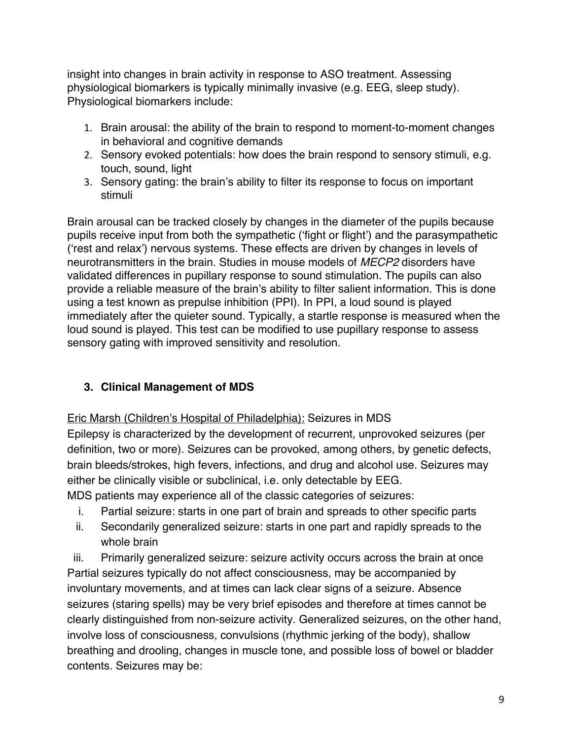insight into changes in brain activity in response to ASO treatment. Assessing physiological biomarkers is typically minimally invasive (e.g. EEG, sleep study). Physiological biomarkers include:

- 1. Brain arousal: the ability of the brain to respond to moment-to-moment changes in behavioral and cognitive demands
- 2. Sensory evoked potentials: how does the brain respond to sensory stimuli, e.g. touch, sound, light
- 3. Sensory gating: the brain's ability to filter its response to focus on important stimuli

Brain arousal can be tracked closely by changes in the diameter of the pupils because pupils receive input from both the sympathetic ('fight or flight') and the parasympathetic ('rest and relax') nervous systems. These effects are driven by changes in levels of neurotransmitters in the brain. Studies in mouse models of *MECP2* disorders have validated differences in pupillary response to sound stimulation. The pupils can also provide a reliable measure of the brain's ability to filter salient information. This is done using a test known as prepulse inhibition (PPI). In PPI, a loud sound is played immediately after the quieter sound. Typically, a startle response is measured when the loud sound is played. This test can be modified to use pupillary response to assess sensory gating with improved sensitivity and resolution.

#### **3. Clinical Management of MDS**

Eric Marsh (Children's Hospital of Philadelphia): Seizures in MDS

Epilepsy is characterized by the development of recurrent, unprovoked seizures (per definition, two or more). Seizures can be provoked, among others, by genetic defects, brain bleeds/strokes, high fevers, infections, and drug and alcohol use. Seizures may either be clinically visible or subclinical, i.e. only detectable by EEG.

MDS patients may experience all of the classic categories of seizures:

- i. Partial seizure: starts in one part of brain and spreads to other specific parts
- ii. Secondarily generalized seizure: starts in one part and rapidly spreads to the whole brain

iii. Primarily generalized seizure: seizure activity occurs across the brain at once Partial seizures typically do not affect consciousness, may be accompanied by involuntary movements, and at times can lack clear signs of a seizure. Absence seizures (staring spells) may be very brief episodes and therefore at times cannot be clearly distinguished from non-seizure activity. Generalized seizures, on the other hand, involve loss of consciousness, convulsions (rhythmic jerking of the body), shallow breathing and drooling, changes in muscle tone, and possible loss of bowel or bladder contents. Seizures may be: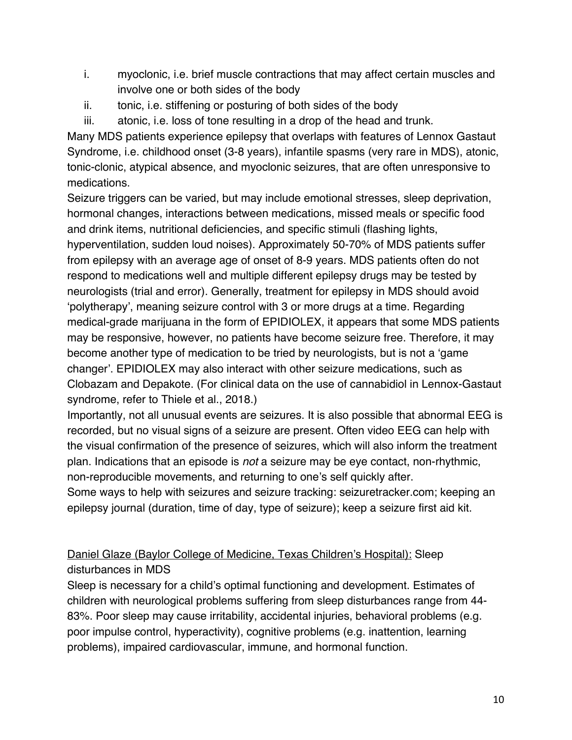- i. myoclonic, i.e. brief muscle contractions that may affect certain muscles and involve one or both sides of the body
- ii. tonic, i.e. stiffening or posturing of both sides of the body
- iii. atonic, i.e. loss of tone resulting in a drop of the head and trunk.

Many MDS patients experience epilepsy that overlaps with features of Lennox Gastaut Syndrome, i.e. childhood onset (3-8 years), infantile spasms (very rare in MDS), atonic, tonic-clonic, atypical absence, and myoclonic seizures, that are often unresponsive to medications.

Seizure triggers can be varied, but may include emotional stresses, sleep deprivation, hormonal changes, interactions between medications, missed meals or specific food and drink items, nutritional deficiencies, and specific stimuli (flashing lights,

hyperventilation, sudden loud noises). Approximately 50-70% of MDS patients suffer from epilepsy with an average age of onset of 8-9 years. MDS patients often do not respond to medications well and multiple different epilepsy drugs may be tested by neurologists (trial and error). Generally, treatment for epilepsy in MDS should avoid 'polytherapy', meaning seizure control with 3 or more drugs at a time. Regarding medical-grade marijuana in the form of EPIDIOLEX, it appears that some MDS patients may be responsive, however, no patients have become seizure free. Therefore, it may become another type of medication to be tried by neurologists, but is not a 'game changer'. EPIDIOLEX may also interact with other seizure medications, such as Clobazam and Depakote. (For clinical data on the use of cannabidiol in Lennox-Gastaut syndrome, refer to Thiele et al., 2018.)

Importantly, not all unusual events are seizures. It is also possible that abnormal EEG is recorded, but no visual signs of a seizure are present. Often video EEG can help with the visual confirmation of the presence of seizures, which will also inform the treatment plan. Indications that an episode is *not* a seizure may be eye contact, non-rhythmic, non-reproducible movements, and returning to one's self quickly after.

Some ways to help with seizures and seizure tracking: seizuretracker.com; keeping an epilepsy journal (duration, time of day, type of seizure); keep a seizure first aid kit.

# Daniel Glaze (Baylor College of Medicine, Texas Children's Hospital): Sleep disturbances in MDS

Sleep is necessary for a child's optimal functioning and development. Estimates of children with neurological problems suffering from sleep disturbances range from 44- 83%. Poor sleep may cause irritability, accidental injuries, behavioral problems (e.g. poor impulse control, hyperactivity), cognitive problems (e.g. inattention, learning problems), impaired cardiovascular, immune, and hormonal function.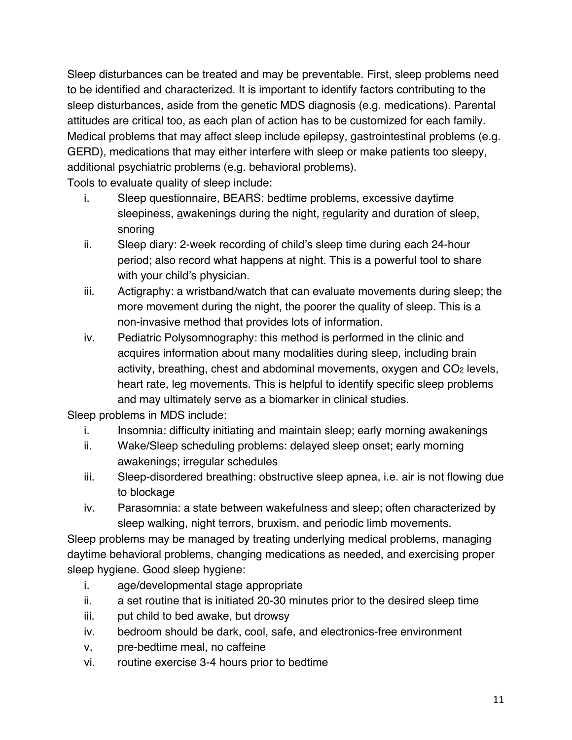Sleep disturbances can be treated and may be preventable. First, sleep problems need to be identified and characterized. It is important to identify factors contributing to the sleep disturbances, aside from the genetic MDS diagnosis (e.g. medications). Parental attitudes are critical too, as each plan of action has to be customized for each family. Medical problems that may affect sleep include epilepsy, gastrointestinal problems (e.g. GERD), medications that may either interfere with sleep or make patients too sleepy, additional psychiatric problems (e.g. behavioral problems).

Tools to evaluate quality of sleep include:

- i. Sleep questionnaire, BEARS: bedtime problems, excessive daytime sleepiness, awakenings during the night, regularity and duration of sleep, snoring
- ii. Sleep diary: 2-week recording of child's sleep time during each 24-hour period; also record what happens at night. This is a powerful tool to share with your child's physician.
- iii. Actigraphy: a wristband/watch that can evaluate movements during sleep; the more movement during the night, the poorer the quality of sleep. This is a non-invasive method that provides lots of information.
- iv. Pediatric Polysomnography: this method is performed in the clinic and acquires information about many modalities during sleep, including brain activity, breathing, chest and abdominal movements, oxygen and  $CO<sub>2</sub>$  levels, heart rate, leg movements. This is helpful to identify specific sleep problems and may ultimately serve as a biomarker in clinical studies.

Sleep problems in MDS include:

- i. Insomnia: difficulty initiating and maintain sleep; early morning awakenings
- ii. Wake/Sleep scheduling problems: delayed sleep onset; early morning awakenings; irregular schedules
- iii. Sleep-disordered breathing: obstructive sleep apnea, i.e. air is not flowing due to blockage
- iv. Parasomnia: a state between wakefulness and sleep; often characterized by sleep walking, night terrors, bruxism, and periodic limb movements.

Sleep problems may be managed by treating underlying medical problems, managing daytime behavioral problems, changing medications as needed, and exercising proper sleep hygiene. Good sleep hygiene:

- i. age/developmental stage appropriate
- ii. a set routine that is initiated 20-30 minutes prior to the desired sleep time
- iii. put child to bed awake, but drowsy
- iv. bedroom should be dark, cool, safe, and electronics-free environment
- v. pre-bedtime meal, no caffeine
- vi. routine exercise 3-4 hours prior to bedtime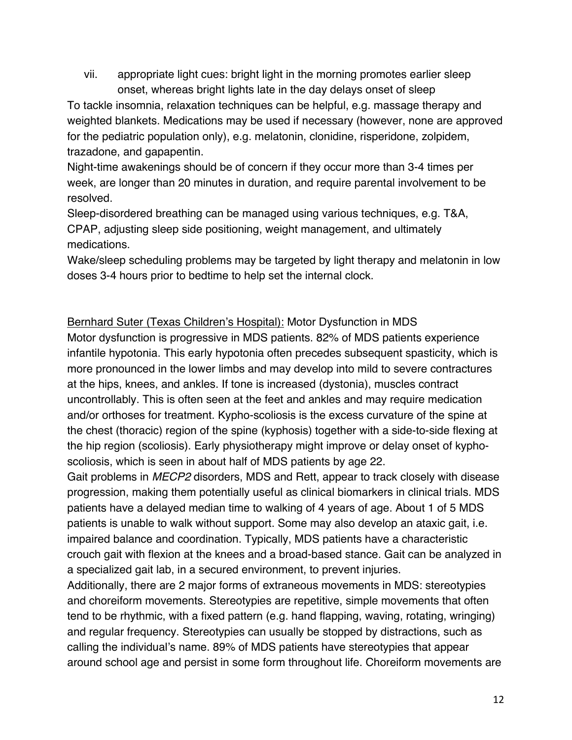vii. appropriate light cues: bright light in the morning promotes earlier sleep onset, whereas bright lights late in the day delays onset of sleep

To tackle insomnia, relaxation techniques can be helpful, e.g. massage therapy and weighted blankets. Medications may be used if necessary (however, none are approved for the pediatric population only), e.g. melatonin, clonidine, risperidone, zolpidem, trazadone, and gapapentin.

Night-time awakenings should be of concern if they occur more than 3-4 times per week, are longer than 20 minutes in duration, and require parental involvement to be resolved.

Sleep-disordered breathing can be managed using various techniques, e.g. T&A, CPAP, adjusting sleep side positioning, weight management, and ultimately medications.

Wake/sleep scheduling problems may be targeted by light therapy and melatonin in low doses 3-4 hours prior to bedtime to help set the internal clock.

#### Bernhard Suter (Texas Children's Hospital): Motor Dysfunction in MDS

Motor dysfunction is progressive in MDS patients. 82% of MDS patients experience infantile hypotonia. This early hypotonia often precedes subsequent spasticity, which is more pronounced in the lower limbs and may develop into mild to severe contractures at the hips, knees, and ankles. If tone is increased (dystonia), muscles contract uncontrollably. This is often seen at the feet and ankles and may require medication and/or orthoses for treatment. Kypho-scoliosis is the excess curvature of the spine at the chest (thoracic) region of the spine (kyphosis) together with a side-to-side flexing at the hip region (scoliosis). Early physiotherapy might improve or delay onset of kyphoscoliosis, which is seen in about half of MDS patients by age 22.

Gait problems in *MECP2* disorders, MDS and Rett, appear to track closely with disease progression, making them potentially useful as clinical biomarkers in clinical trials. MDS patients have a delayed median time to walking of 4 years of age. About 1 of 5 MDS patients is unable to walk without support. Some may also develop an ataxic gait, i.e. impaired balance and coordination. Typically, MDS patients have a characteristic crouch gait with flexion at the knees and a broad-based stance. Gait can be analyzed in a specialized gait lab, in a secured environment, to prevent injuries.

Additionally, there are 2 major forms of extraneous movements in MDS: stereotypies and choreiform movements. Stereotypies are repetitive, simple movements that often tend to be rhythmic, with a fixed pattern (e.g. hand flapping, waving, rotating, wringing) and regular frequency. Stereotypies can usually be stopped by distractions, such as calling the individual's name. 89% of MDS patients have stereotypies that appear around school age and persist in some form throughout life. Choreiform movements are